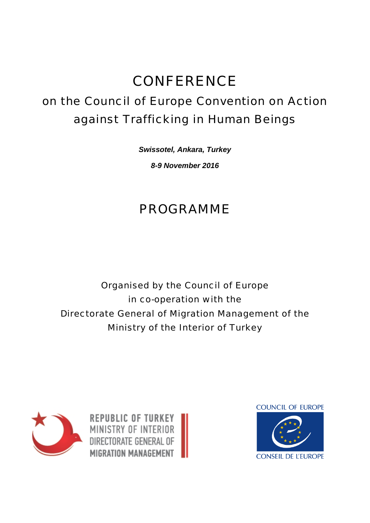## **CONFERENCE**

## on the Council of Europe Convention on Action against Trafficking in Human Beings

*Swissotel, Ankara, Turkey 8-9 November 2016*

## PROGRAMME

Organised by the Council of Europe in co-operation with the Directorate General of Migration Management of the Ministry of the Interior of Turkey



**REPUBLIC OF TURKEY** MINISTRY OF INTERIOR DIRECTORATE GENERAL OF MIGRATION MANAGEMENT

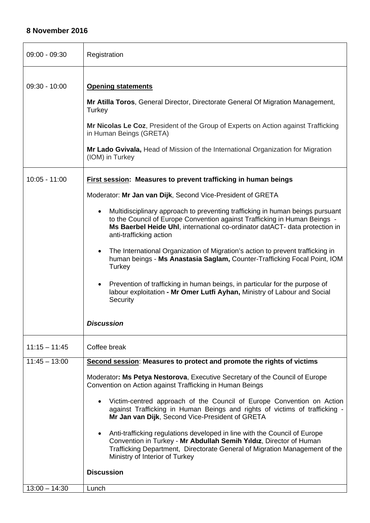## **8 November 2016**

| $09:00 - 09:30$ | Registration                                                                                                                                                                                                                                                                                                                                                                                                                                                                                                                                                                                                                                                                                                                                                                                                           |
|-----------------|------------------------------------------------------------------------------------------------------------------------------------------------------------------------------------------------------------------------------------------------------------------------------------------------------------------------------------------------------------------------------------------------------------------------------------------------------------------------------------------------------------------------------------------------------------------------------------------------------------------------------------------------------------------------------------------------------------------------------------------------------------------------------------------------------------------------|
| $09:30 - 10:00$ | <b>Opening statements</b><br>Mr Atilla Toros, General Director, Directorate General Of Migration Management,<br>Turkey<br>Mr Nicolas Le Coz, President of the Group of Experts on Action against Trafficking<br>in Human Beings (GRETA)<br>Mr Lado Gvivala, Head of Mission of the International Organization for Migration<br>(IOM) in Turkey                                                                                                                                                                                                                                                                                                                                                                                                                                                                         |
| $10:05 - 11:00$ | <b>First session: Measures to prevent trafficking in human beings</b><br>Moderator: Mr Jan van Dijk, Second Vice-President of GRETA<br>Multidisciplinary approach to preventing trafficking in human beings pursuant<br>$\bullet$<br>to the Council of Europe Convention against Trafficking in Human Beings -<br>Ms Baerbel Heide Uhl, international co-ordinator datACT- data protection in<br>anti-trafficking action<br>The International Organization of Migration's action to prevent trafficking in<br>$\bullet$<br>human beings - Ms Anastasia Saglam, Counter-Trafficking Focal Point, IOM<br>Turkey<br>Prevention of trafficking in human beings, in particular for the purpose of<br>$\bullet$<br>labour exploitation - Mr Omer Lutfi Ayhan, Ministry of Labour and Social<br>Security<br><b>Discussion</b> |
| $11:15 - 11:45$ | Coffee break                                                                                                                                                                                                                                                                                                                                                                                                                                                                                                                                                                                                                                                                                                                                                                                                           |
| $11:45 - 13:00$ | Second session: Measures to protect and promote the rights of victims<br>Moderator: Ms Petya Nestorova, Executive Secretary of the Council of Europe<br>Convention on Action against Trafficking in Human Beings<br>Victim-centred approach of the Council of Europe Convention on Action<br>against Trafficking in Human Beings and rights of victims of trafficking -<br>Mr Jan van Dijk, Second Vice-President of GRETA<br>Anti-trafficking regulations developed in line with the Council of Europe<br>$\bullet$<br>Convention in Turkey - Mr Abdullah Semih Yıldız, Director of Human<br>Trafficking Department, Directorate General of Migration Management of the<br>Ministry of Interior of Turkey<br><b>Discussion</b>                                                                                        |
| $13:00 - 14:30$ | Lunch                                                                                                                                                                                                                                                                                                                                                                                                                                                                                                                                                                                                                                                                                                                                                                                                                  |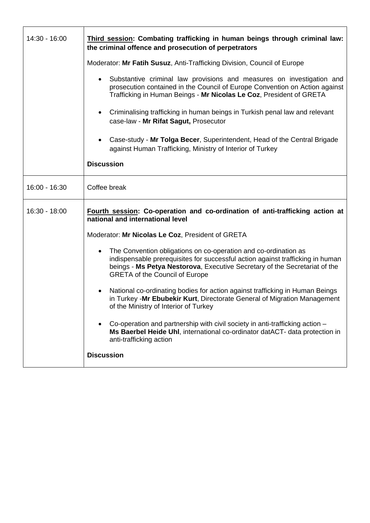| 14:30 - 16:00 | Third session: Combating trafficking in human beings through criminal law:<br>the criminal offence and prosecution of perpetrators                                                                                                                                                    |
|---------------|---------------------------------------------------------------------------------------------------------------------------------------------------------------------------------------------------------------------------------------------------------------------------------------|
|               | Moderator: Mr Fatih Susuz, Anti-Trafficking Division, Council of Europe                                                                                                                                                                                                               |
|               | Substantive criminal law provisions and measures on investigation and<br>$\bullet$<br>prosecution contained in the Council of Europe Convention on Action against<br>Trafficking in Human Beings - Mr Nicolas Le Coz, President of GRETA                                              |
|               | Criminalising trafficking in human beings in Turkish penal law and relevant<br>$\bullet$<br>case-law - Mr Rifat Sagut, Prosecutor                                                                                                                                                     |
|               | Case-study - Mr Tolga Becer, Superintendent, Head of the Central Brigade<br>$\bullet$<br>against Human Trafficking, Ministry of Interior of Turkey                                                                                                                                    |
|               | <b>Discussion</b>                                                                                                                                                                                                                                                                     |
| 16:00 - 16:30 | Coffee break                                                                                                                                                                                                                                                                          |
| 16:30 - 18:00 | Fourth session: Co-operation and co-ordination of anti-trafficking action at<br>national and international level                                                                                                                                                                      |
|               | Moderator: Mr Nicolas Le Coz, President of GRETA                                                                                                                                                                                                                                      |
|               | The Convention obligations on co-operation and co-ordination as<br>$\bullet$<br>indispensable prerequisites for successful action against trafficking in human<br>beings - Ms Petya Nestorova, Executive Secretary of the Secretariat of the<br><b>GRETA of the Council of Europe</b> |
|               | National co-ordinating bodies for action against trafficking in Human Beings<br>$\bullet$<br>in Turkey -Mr Ebubekir Kurt, Directorate General of Migration Management<br>of the Ministry of Interior of Turkey                                                                        |
|               | Co-operation and partnership with civil society in anti-trafficking action -<br>Ms Baerbel Heide Uhl, international co-ordinator datACT- data protection in<br>anti-trafficking action                                                                                                |
|               | <b>Discussion</b>                                                                                                                                                                                                                                                                     |